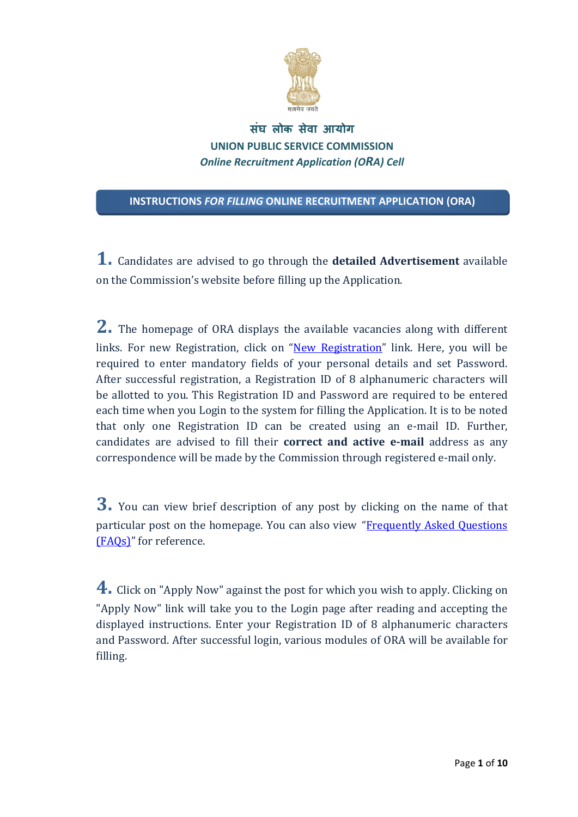

## **सघ लोक स ं ेवा आयोग UNION PUBLIC SERVICE COMMISSION** *Online Recruitment Application (ORA) Cell*

**INSTRUCTIONS** *FOR FILLING* **ONLINE RECRUITMENT APPLICATION (ORA)**

**1.** Candidates are advised to go through the **detailed Advertisement** available on the Commission's website before filling up the Application.

**2.** The homepage of ORA displays the available vacancies along with different links. For new Registration, click on "New Registration" link. Here, you will be required to enter mandatory fields of your personal details and set Password. After successful registration, a Registration ID of 8 alphanumeric characters will be allotted to you. This Registration ID and Password are required to be entered each time when you Login to the system for filling the Application. It is to be noted that only one Registration ID can be created using an e-mail ID. Further, candidates are advised to fill their **correct and active e‐mail** address as any correspondence will be made by the Commission through registered e-mail only.

**3.** You can view brief description of any post by clicking on the name of that particular post on the homepage. You can also view "Frequently Asked Questions" (FAOs)" for reference.

**4.** Click on "Apply Now" against the post for which you wish to apply. Clicking on "Apply Now" link will take you to the Login page after reading and accepting the displayed instructions. Enter your Registration ID of 8 alphanumeric characters and Password. After successful login, various modules of ORA will be available for filling.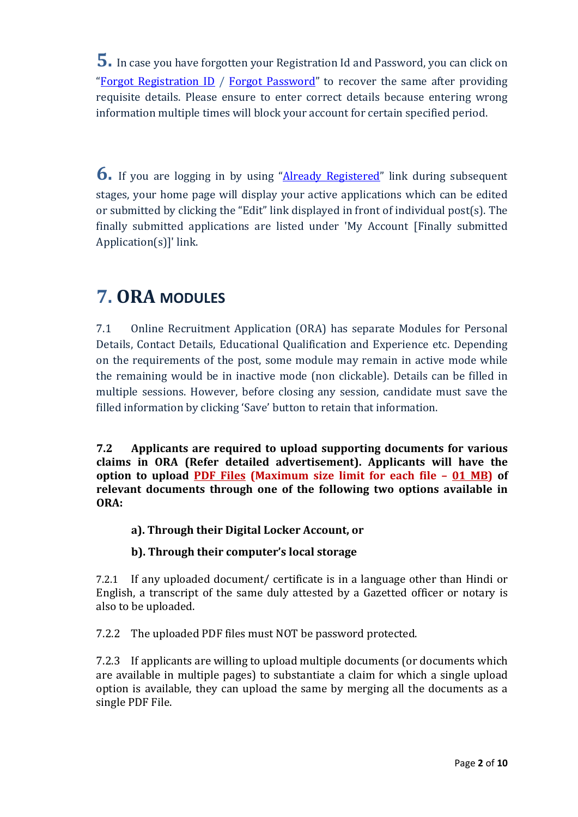**5.** In case you have forgotten your Registration Id and Password, you can click on "Forgot Registration ID / Forgot Password" to recover the same after providing requisite details. Please ensure to enter correct details because entering wrong information multiple times will block your account for certain specified period.

**6.** If you are logging in by using "Already Registered" link during subsequent stages, your home page will display your active applications which can be edited or submitted by clicking the "Edit" link displayed in front of individual post(s). The finally submitted applications are listed under 'My Account [Finally submitted]  $Application(s)]'$  link.

# **7. ORA MODULES**

7.1 Online Recruitment Application (ORA) has separate Modules for Personal Details, Contact Details, Educational Qualification and Experience etc. Depending on the requirements of the post, some module may remain in active mode while the remaining would be in inactive mode (non clickable). Details can be filled in multiple sessions. However, before closing any session, candidate must save the filled information by clicking 'Save' button to retain that information.

**7.2 Applicants are required to upload supporting documents for various claims in ORA (Refer detailed advertisement). Applicants will have the option to upload PDF Files (Maximum size limit for each file – 01 MB) of relevant documents through one of the following two options available in ORA:**

## **a). Through their Digital Locker Account, or**

## **b). Through their computer's local storage**

7.2.1 If any uploaded document/ certificate is in a language other than Hindi or English, a transcript of the same duly attested by a Gazetted officer or notary is also to be uploaded.

7.2.2 The uploaded PDF files must NOT be password protected.

7.2.3 If applicants are willing to upload multiple documents (or documents which are available in multiple pages) to substantiate a claim for which a single upload option is available, they can upload the same by merging all the documents as a single PDF File.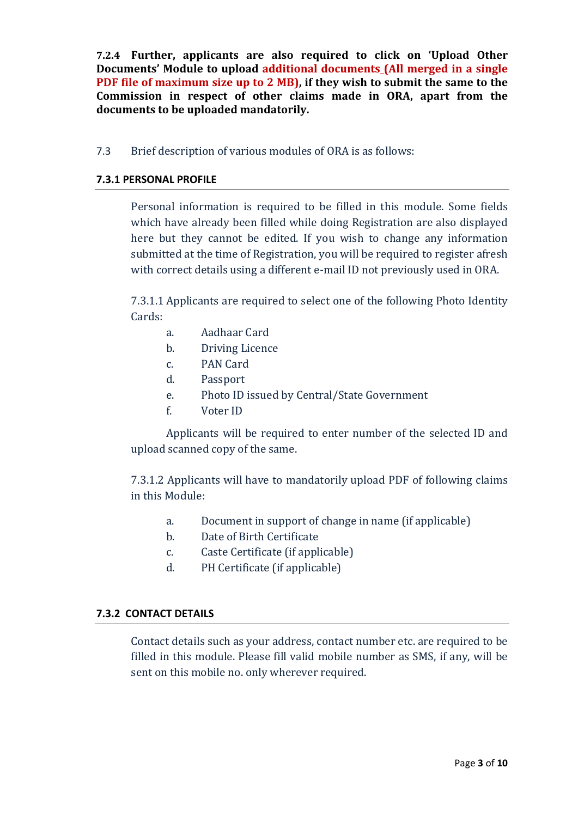**7.2.4 Further, applicants are also required to click on 'Upload Other Documents' Module to upload additional documents (All merged in a single PDF file of maximum size up to 2 MB), if they wish to submit the same to the Commission in respect of other claims made in ORA, apart from the documents to be uploaded mandatorily.**

7.3 Brief description of various modules of ORA is as follows:

#### **7.3.1 PERSONAL PROFILE**

Personal information is required to be filled in this module. Some fields which have already been filled while doing Registration are also displayed here but they cannot be edited. If you wish to change any information submitted at the time of Registration, you will be required to register afresh with correct details using a different e-mail ID not previously used in ORA.

7.3.1.1 Applicants are required to select one of the following Photo Identity Cards: 

- a. Aadhaar Card
- b. Driving Licence
- c. PAN Card
- d. Passport
- e. Photo ID issued by Central/State Government
- f. Voter ID

Applicants will be required to enter number of the selected ID and upload scanned copy of the same.

7.3.1.2 Applicants will have to mandatorily upload PDF of following claims in this Module:

- a. Document in support of change in name (if applicable)
- b. Date of Birth Certificate
- c. Caste Certificate (if applicable)
- d. PH Certificate (if applicable)

#### **7.3.2 CONTACT DETAILS**

Contact details such as your address, contact number etc. are required to be filled in this module. Please fill valid mobile number as SMS, if any, will be sent on this mobile no. only wherever required.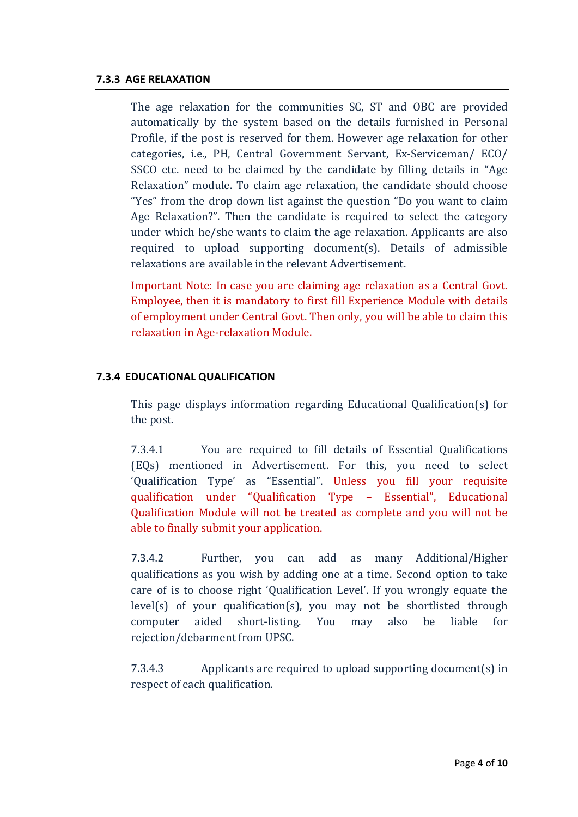#### **7.3.3 AGE RELAXATION**

The age relaxation for the communities SC, ST and OBC are provided automatically by the system based on the details furnished in Personal Profile, if the post is reserved for them. However age relaxation for other categories, i.e., PH, Central Government Servant, Ex-Serviceman/ ECO/ SSCO etc. need to be claimed by the candidate by filling details in "Age Relaxation" module. To claim age relaxation, the candidate should choose "Yes" from the drop down list against the question "Do you want to claim Age Relaxation?". Then the candidate is required to select the category under which he/she wants to claim the age relaxation. Applicants are also required to upload supporting document(s). Details of admissible relaxations are available in the relevant Advertisement.

Important Note: In case you are claiming age relaxation as a Central Govt. Employee, then it is mandatory to first fill Experience Module with details of employment under Central Govt. Then only, you will be able to claim this relaxation in Age-relaxation Module.

#### **7.3.4 EDUCATIONAL QUALIFICATION**

This page displays information regarding Educational Qualification(s) for the post.

7.3.4.1 You are required to fill details of Essential Qualifications (EQs) mentioned in Advertisement. For this, you need to select 'Qualification Type' as "Essential". Unless you fill your requisite qualification under "Qualification Type - Essential", Educational Qualification Module will not be treated as complete and you will not be able to finally submit your application.

7.3.4.2 Further, you can add as many Additional/Higher qualifications as you wish by adding one at a time. Second option to take care of is to choose right 'Qualification Level'. If you wrongly equate the  $level(s)$  of your qualification(s), you may not be shortlisted through computer aided short-listing. You may also be liable for rejection/debarment from UPSC.

7.3.4.3 Applicants are required to upload supporting document(s) in respect of each qualification.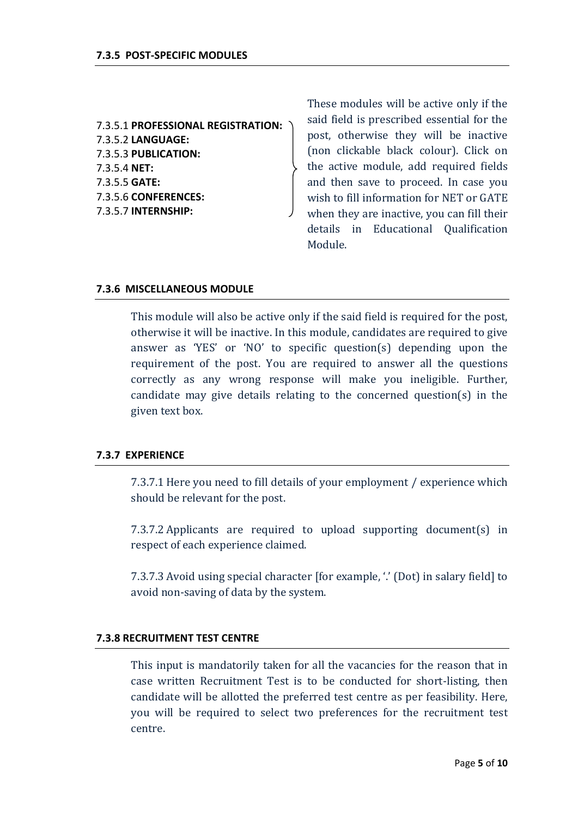7.3.5.1 **PROFESSIONAL REGISTRATION:** 7.3.5.2 **LANGUAGE:** 7.3.5.3 **PUBLICATION:** 7.3.5.4 **NET:** 7.3.5.5 **GATE:** 7.3.5.6 **CONFERENCES:** 7.3.5.7 **INTERNSHIP:**

These modules will be active only if the said field is prescribed essential for the post, otherwise they will be inactive (non clickable black colour). Click on the active module, add required fields and then save to proceed. In case you wish to fill information for NET or GATE when they are inactive, you can fill their details in Educational Oualification Module. 

#### **7.3.6 MISCELLANEOUS MODULE**

This module will also be active only if the said field is required for the post, otherwise it will be inactive. In this module, candidates are required to give answer as 'YES' or 'NO' to specific question(s) depending upon the requirement of the post. You are required to answer all the questions correctly as any wrong response will make you ineligible. Further, candidate may give details relating to the concerned question(s) in the given text box.

#### **7.3.7 EXPERIENCE**

7.3.7.1 Here you need to fill details of your employment / experience which should be relevant for the post.

7.3.7.2 Applicants are required to upload supporting document(s) in respect of each experience claimed.

7.3.7.3 Avoid using special character [for example, '.' (Dot) in salary field] to avoid non-saving of data by the system.

#### **7.3.8 RECRUITMENT TEST CENTRE**

This input is mandatorily taken for all the vacancies for the reason that in case written Recruitment Test is to be conducted for short-listing, then candidate will be allotted the preferred test centre as per feasibility. Here, you will be required to select two preferences for the recruitment test centre.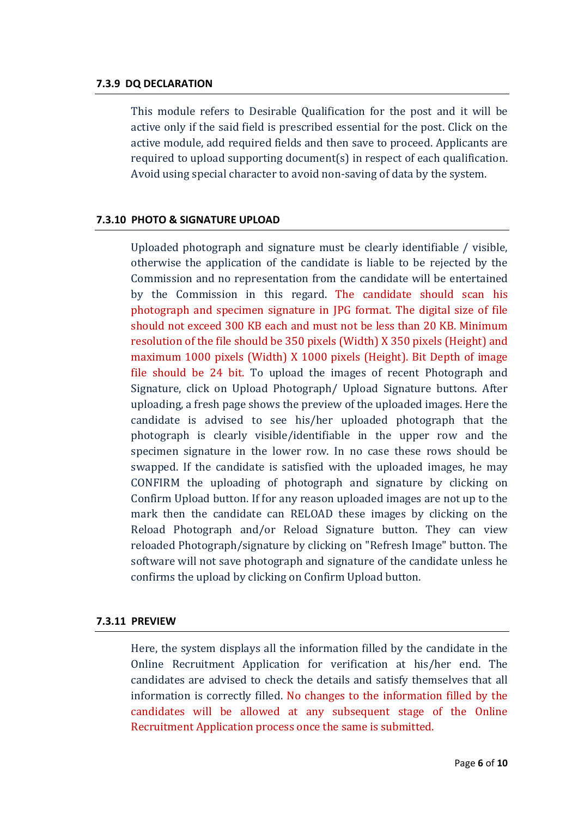#### **7.3.9 DQ DECLARATION**

This module refers to Desirable Qualification for the post and it will be active only if the said field is prescribed essential for the post. Click on the active module, add required fields and then save to proceed. Applicants are required to upload supporting document(s) in respect of each qualification. Avoid using special character to avoid non-saving of data by the system.

#### **7.3.10 PHOTO & SIGNATURE UPLOAD**

Uploaded photograph and signature must be clearly identifiable / visible, otherwise the application of the candidate is liable to be rejected by the Commission and no representation from the candidate will be entertained by the Commission in this regard. The candidate should scan his photograph and specimen signature in JPG format. The digital size of file should not exceed 300 KB each and must not be less than 20 KB. Minimum resolution of the file should be 350 pixels (Width) X 350 pixels (Height) and maximum 1000 pixels (Width)  $X$  1000 pixels (Height). Bit Depth of image file should be 24 bit. To upload the images of recent Photograph and Signature, click on Upload Photograph/ Upload Signature buttons. After uploading, a fresh page shows the preview of the uploaded images. Here the candidate is advised to see his/her uploaded photograph that the photograph is clearly visible/identifiable in the upper row and the specimen signature in the lower row. In no case these rows should be swapped. If the candidate is satisfied with the uploaded images, he may CONFIRM the uploading of photograph and signature by clicking on Confirm Upload button. If for any reason uploaded images are not up to the mark then the candidate can RELOAD these images by clicking on the Reload Photograph and/or Reload Signature button. They can view reloaded Photograph/signature by clicking on "Refresh Image" button. The software will not save photograph and signature of the candidate unless he confirms the upload by clicking on Confirm Upload button.

#### **7.3.11 PREVIEW**

Here, the system displays all the information filled by the candidate in the Online Recruitment Application for verification at his/her end. The candidates are advised to check the details and satisfy themselves that all information is correctly filled. No changes to the information filled by the candidates will be allowed at any subsequent stage of the Online Recruitment Application process once the same is submitted.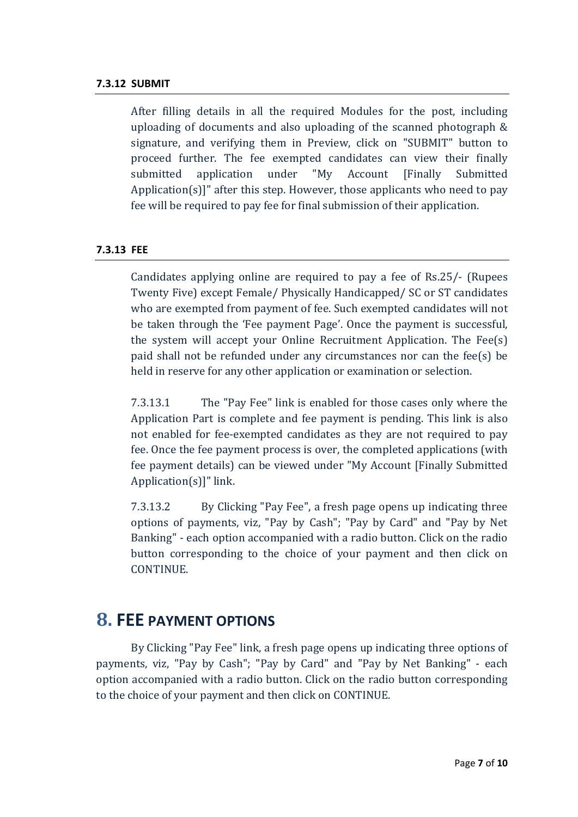#### **7.3.12 SUBMIT**

After filling details in all the required Modules for the post, including uploading of documents and also uploading of the scanned photograph  $\&$ signature, and verifying them in Preview, click on "SUBMIT" button to proceed further. The fee exempted candidates can view their finally submitted application under "My Account [Finally Submitted Application $(s)$ ]" after this step. However, those applicants who need to pay fee will be required to pay fee for final submission of their application.

#### **7.3.13 FEE**

Candidates applying online are required to pay a fee of  $\text{Rs.25}/\cdot$  (Rupees Twenty Five) except Female/ Physically Handicapped/ SC or ST candidates who are exempted from payment of fee. Such exempted candidates will not be taken through the 'Fee payment Page'. Once the payment is successful, the system will accept your Online Recruitment Application. The  $Fee(s)$ paid shall not be refunded under any circumstances nor can the fee(s) be held in reserve for any other application or examination or selection.

7.3.13.1 The "Pay Fee" link is enabled for those cases only where the Application Part is complete and fee payment is pending. This link is also not enabled for fee-exempted candidates as they are not required to pay fee. Once the fee payment process is over, the completed applications (with fee payment details) can be viewed under "My Account [Finally Submitted Application $(s)$ ]" link.

7.3.13.2 By Clicking "Pay Fee", a fresh page opens up indicating three options of payments, viz, "Pay by Cash"; "Pay by Card" and "Pay by Net Banking" - each option accompanied with a radio button. Click on the radio button corresponding to the choice of your payment and then click on CONTINUE. 

## **8. FEE PAYMENT OPTIONS**

By Clicking "Pay Fee" link, a fresh page opens up indicating three options of payments, viz, "Pay by Cash"; "Pay by Card" and "Pay by Net Banking" - each option accompanied with a radio button. Click on the radio button corresponding to the choice of your payment and then click on CONTINUE.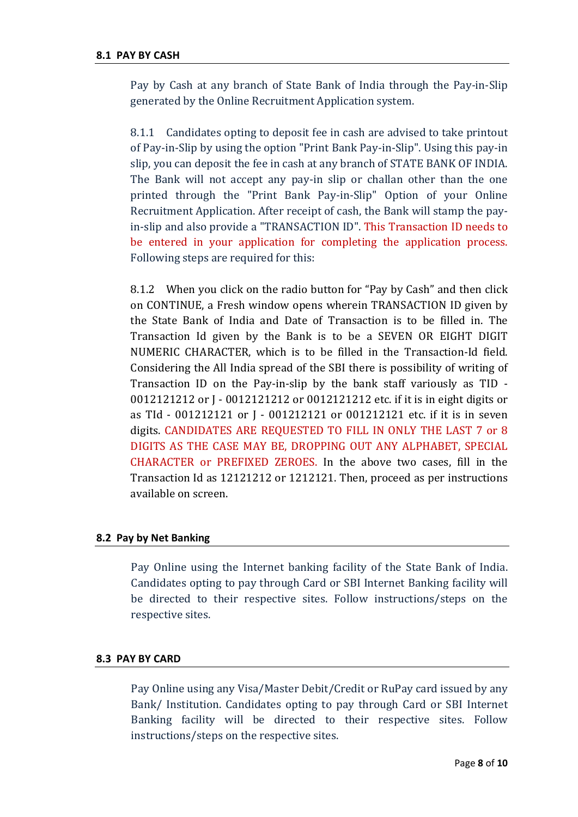Pay by Cash at any branch of State Bank of India through the Pay-in-Slip generated by the Online Recruitment Application system.

8.1.1 Candidates opting to deposit fee in cash are advised to take printout of Pay-in-Slip by using the option "Print Bank Pay-in-Slip". Using this pay-in slip, you can deposit the fee in cash at any branch of STATE BANK OF INDIA. The Bank will not accept any pay-in slip or challan other than the one printed through the "Print Bank Pay-in-Slip" Option of your Online Recruitment Application. After receipt of cash, the Bank will stamp the payin-slip and also provide a "TRANSACTION ID". This Transaction ID needs to be entered in your application for completing the application process. Following steps are required for this:

8.1.2 When you click on the radio button for "Pay by Cash" and then click on CONTINUE, a Fresh window opens wherein TRANSACTION ID given by the State Bank of India and Date of Transaction is to be filled in. The Transaction Id given by the Bank is to be a SEVEN OR EIGHT DIGIT NUMERIC CHARACTER, which is to be filled in the Transaction-Id field. Considering the All India spread of the SBI there is possibility of writing of Transaction ID on the Pay-in-slip by the bank staff variously as TID  $-$ 0012121212 or J - 0012121212 or 0012121212 etc. if it is in eight digits or as Tld - 001212121 or J - 001212121 or 001212121 etc. if it is in seven digits. CANDIDATES ARE REQUESTED TO FILL IN ONLY THE LAST 7 or 8 DIGITS AS THE CASE MAY BE, DROPPING OUT ANY ALPHABET, SPECIAL CHARACTER or PREFIXED ZEROES. In the above two cases, fill in the Transaction Id as 12121212 or 1212121. Then, proceed as per instructions available on screen.

#### **8.2 Pay by Net Banking**

Pay Online using the Internet banking facility of the State Bank of India. Candidates opting to pay through Card or SBI Internet Banking facility will be directed to their respective sites. Follow instructions/steps on the respective sites.

#### **8.3 PAY BY CARD**

Pay Online using any Visa/Master Debit/Credit or RuPay card issued by any Bank/ Institution. Candidates opting to pay through Card or SBI Internet Banking facility will be directed to their respective sites. Follow instructions/steps on the respective sites.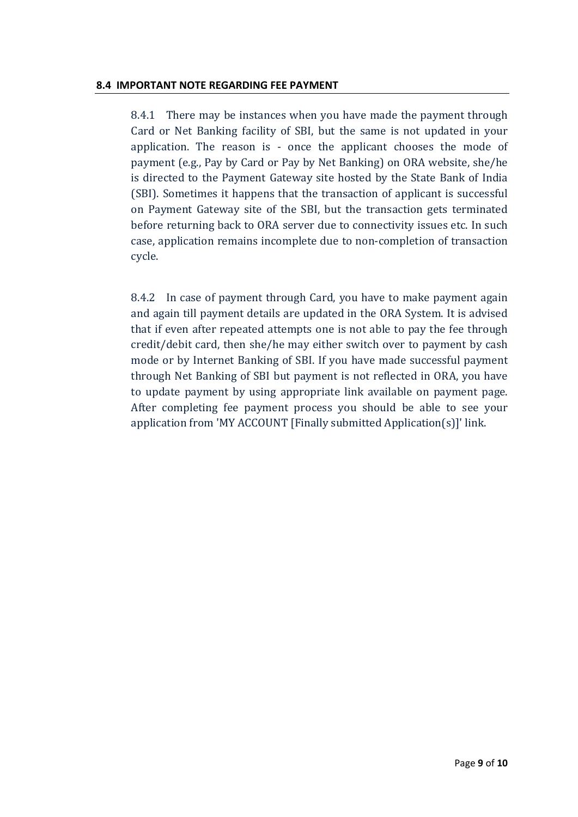#### **8.4 IMPORTANT NOTE REGARDING FEE PAYMENT**

8.4.1 There may be instances when you have made the payment through Card or Net Banking facility of SBI, but the same is not updated in your application. The reason is  $-$  once the applicant chooses the mode of payment (e.g., Pay by Card or Pay by Net Banking) on ORA website, she/he is directed to the Payment Gateway site hosted by the State Bank of India (SBI). Sometimes it happens that the transaction of applicant is successful on Payment Gateway site of the SBI, but the transaction gets terminated before returning back to ORA server due to connectivity issues etc. In such case, application remains incomplete due to non-completion of transaction cycle. 

8.4.2 In case of payment through Card, you have to make payment again and again till payment details are updated in the ORA System. It is advised that if even after repeated attempts one is not able to pay the fee through credit/debit card, then she/he may either switch over to payment by cash mode or by Internet Banking of SBI. If you have made successful payment through Net Banking of SBI but payment is not reflected in ORA, you have to update payment by using appropriate link available on payment page. After completing fee payment process you should be able to see your application from 'MY ACCOUNT [Finally submitted Application(s)]' link.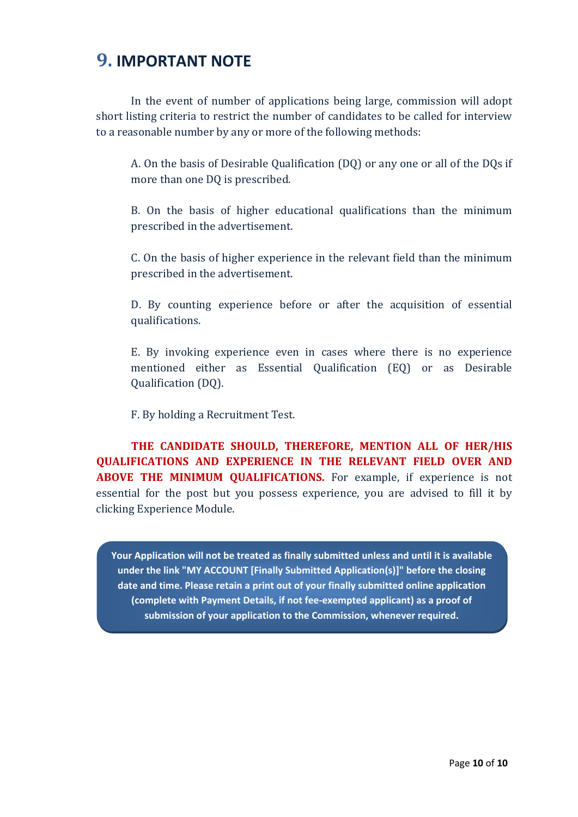## **9. IMPORTANT NOTE**

In the event of number of applications being large, commission will adopt short listing criteria to restrict the number of candidates to be called for interview to a reasonable number by any or more of the following methods:

A. On the basis of Desirable Qualification (DQ) or any one or all of the DQs if more than one DQ is prescribed.

B. On the basis of higher educational qualifications than the minimum prescribed in the advertisement.

C. On the basis of higher experience in the relevant field than the minimum prescribed in the advertisement.

D. By counting experience before or after the acquisition of essential qualifications. 

E. By invoking experience even in cases where there is no experience mentioned either as Essential Qualification (EQ) or as Desirable Qualification (DQ).

F. By holding a Recruitment Test.

**THE CANDIDATE SHOULD, THEREFORE, MENTION ALL OF HER/HIS QUALIFICATIONS AND EXPERIENCE IN THE RELEVANT FIELD OVER AND ABOVE THE MINIMUM QUALIFICATIONS.** For example, if experience is not essential for the post but you possess experience, you are advised to fill it by clicking Experience Module.

**Your Application will not be treated as finally submitted unless and until it is available under the link "MY ACCOUNT [Finally Submitted Application(s)]" before the closing date and time. Please retain a print out of your finally submitted online application (complete with Payment Details, if not fee‐exempted applicant) as a proof of submission of your application to the Commission, whenever required.**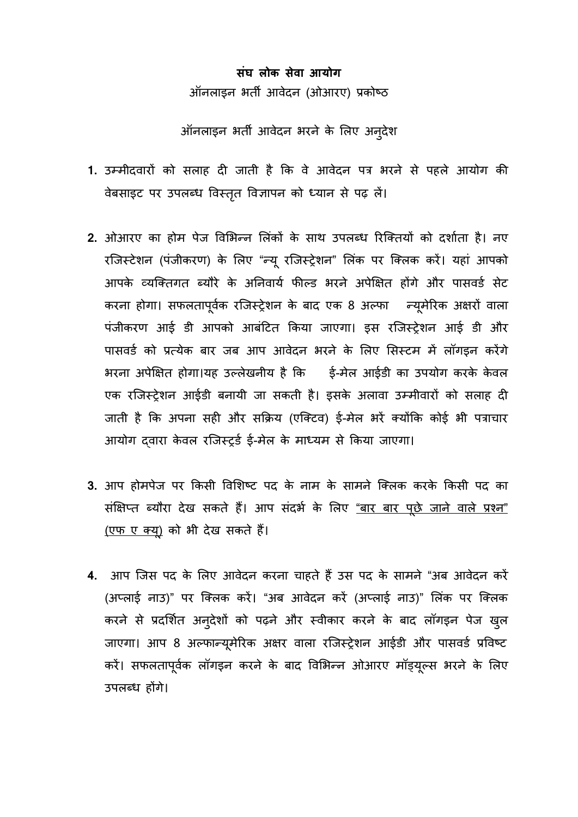## **संघ लोक सेवा आयोग** ऑनलाइन भत� आवेदन (ओआरए) प्रको

आंनलाइन भती आवेदन भरने के लिए अनुदेश

- 1. उम्मीदवारों को सलाह दी जाती है कि वे आवेदन पत्र भरने से पहले आयोग की वेबसाइट पर उपलब्ध विस्तृत विज्ञापन को ध्यान से पढ़ लें।
- 2. ओआरए का होम पेज विभिन्न लिंकों के साथ उपलब्ध रिक्तियों को दर्शाता है। नए रजिस्टेशन (पंजीकरण) के लिए "न्यू रजिस्ट्रेशन" लिंक पर कि आपके व्यक्तिगत ब्यौरे के अनिवार्य फील्ड भरने अपेक्षित होंगे और पासवर्ड सेट करना होगा।सफलतापूव्रक रिजस्ट्रेशन के बाद8 अल् फ न् य मेरक अ र वाला पंजीकरण आई डी आपको आबंटित किया जाएगा। इस रजिस्ट्रेशन आई डी और पासवर्ड को प्रत्येक बार जब आप आवेदन भरने के लिए सिस्टम में लॉगइन करेंगे भरना अपेक्षित होगा।यह उल्लेखनीय है कि इं-मेल आईडी का उपयोग करके केवल एक रजिस्ट्रेशन आईडी बनायी जा सकती है। इसके अलावा उम्मीवारों को सलाह दी जाती है कि अपना सही और सक्रिय (एक्टिव) ई-मेल भरें क्योंकि कोई भी पत्राचार आयोग दवारा केवल रजिस्टर्ड ई-मेल के माध्यम से किया जाएगा।
- 3. आप होमपेज पर किसी विशिष्ट पद के नाम के सामने क्लिक करके किसी पद का संक्षिप्त ब्यौरा देख सकते हैं। आप संदर्भ के लिए <u>"बार बार पछे जाने वाले प्रश्न"</u> (एफ ए क्यू) को भी देख सकते हैं।
- 4. आप जिस पद के लिए आवेदन करना चाहते हैं उस पद के सामने "अब आवेदन करें (अप्लाई नाउ)" पर क्लिक करें। "अब आवेदन करें (अप्लाई नाउ)" लिंक पर क्लिक करने से प्रदर्शित अन्**देशों को पढ़ने और स्वीकार करने के बाद** लॉगइन पेज ख़ुल जाएगा। आप 8 अल्फान्यूमेरिक अक्षर वाला रजिस्ट्रेशन आईडी और पासवः करें। सफलतापूर्वक लॉगइन करने के बाद विभिन्न ओआरए मॉड्यूल्स भरने के लिए उपलब्ध हगे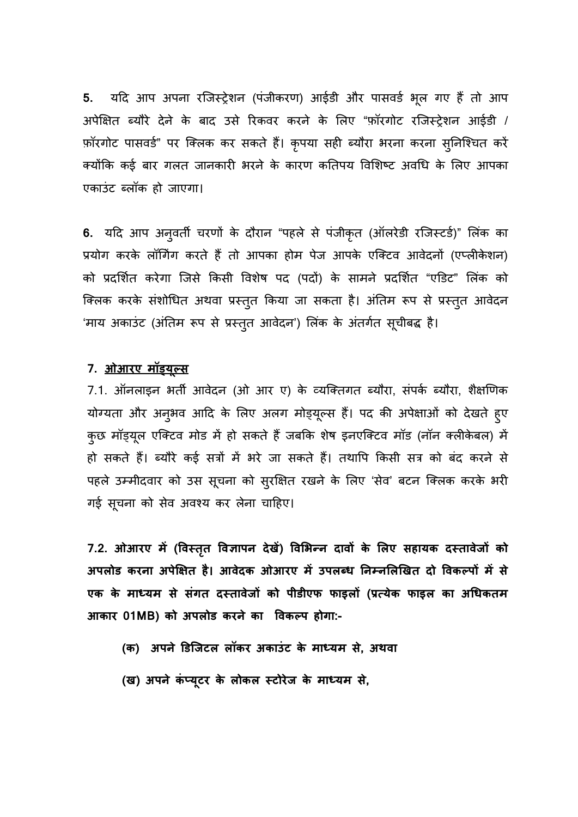5. यदि आप अपना रजिस्ट्रेशन (पंजीकरण) आईडी और पासवर्ड भूल गए हैं तो आप अपेक्षित ब्यौरे देने के बाद उसे रिकवर करने के लिए "फ़ॉरगोट रजिस्ट्रेशन आईडी / फ़ॉरगोट पासवर्ड" पर क्लिक कर सकते हैं। कृपया सही ब्यौरा भरना करना सुनिश्चित करें क्योंकि कई बार गलत जानकारी भरने के कारण कतिपय विशिष्ट अवधि के लिए आपका एकाउंट ब्लॉक हो जाएगा।

**6.** यदि आप अनुवती चरणों के दौरान "पहले से पंजीकृत (आलरेडी रजिस्टडे)" लिंक का प्रयोग करके लॉगिंग करते हैं तो आपका होम पेज आपके एक्टिव आवेदनों (एप्लीकेशन) को प्रदर्शित करेगा जिसे किसी विशेष पद (पदों) के सामने प्रदर्शित "एडिट" लिंक को क्लिक करके संशोधित अथवा प्रस्तुत किया जा सकता है। अंतिम रूप से प्रस्तुत आवेदन 'माय अकाउंट (अंतिम रूप से प्रस्तुत आवेदन') लिंक के अंतर्गत सूचीबद्ध है।

### **7. ओआरए मॉड्य ूल्**

7.1. ऑनलाइन भर्ती आवेदन (ओ आर ए) के व्यक्तिगत ब्यौरा, संपर्क ब्यौरा, शैक्षणिक योग्यता और अनुभव आदि के लिए अलग मोड्यूल्स हैं। पद की अपेक्षाओं को देखते ह्ए कुछ मॉड्यूल एक्टिव मोड में हो सकते हैं जबकि शेष इनएक्टिव मॉड (नॉन क्लेकिबल) में हो सकते हैं। ब्यौरे कई सत्रों में भरे जा सकते हैं। तथापि किसी सत्र को बंद करने से पहले उम्मीदवार को उस सूचना को सुरक्षित रखने के लिए 'सेव' बटन कि गई सूचना को सेव अवश्य कर लेना चाहिए।

**7.2. ओआरए म� (�वस तत �व�ापन देख�) �व�भन्न दाव के लए सहायक दस्तावेज क** अपलोड करना अपेक्षित है। आवेदक ओआरए में उपलब्ध निम्नलिखित दो विकल्पों में से **एक के माध्यम से संगत दस्तावेज को पीडीएफ फाइल(प्रत्येक फाइल का अधक आकार 01MB) को अपलोड करने का �वकल्प होग:-**

- **(क) अपने �डिजटल लॉकर अकाउं ट के माध्यम स, अथवा**
- **(ख) अपने कं प्य ूटर के लोकल स्टोरेज माध्यम,**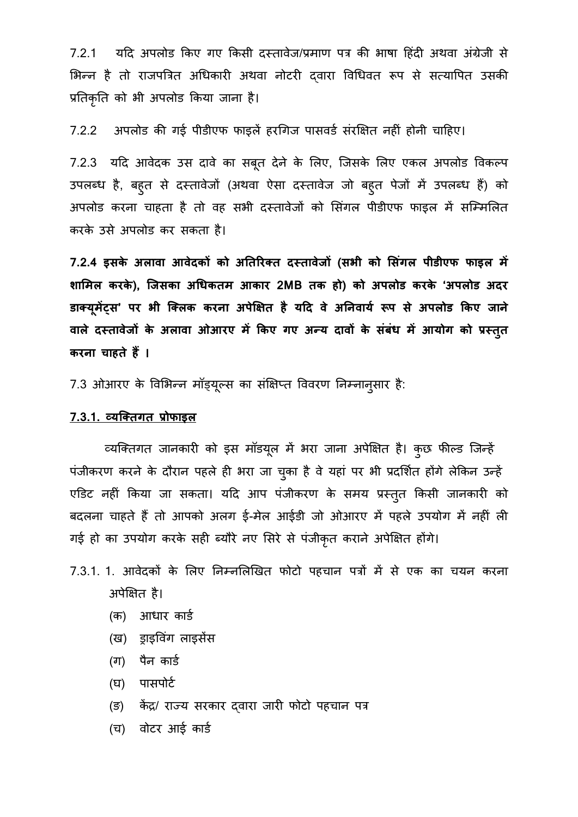7.2.1 यदि अपलोड किए गए किसी दस्तावेज/प्रमाण पत्र की भाषा हिंदी अथवा अंग्रेजी से भिन्न है तो राजपत्रित अधिकारी अथवा नोटरी दवारा विधिवत रूप से सत्यापित उसकी प्रतिकृति को भी अपलोड किया जाना है।

7.2.2 अपलोड की गई पीडीएफ फाइलें हरगिज पासवर्ड संरक्षित नहीं होनी चाहिए।

7.2.3 यदि आवेदक उस दावे का सबूत देने के लिए, जिसके लिए एकल अपलोड विक उपलब्ध है, बहुत से दस्तावेजो (अथवा ऐसा दस्तावेज जो बहुत पेजों में उपलब्ध हैं) क अपलोड करना चाहता है तो वह सभी दस्तावेजों को सिंगल पीडीएफ फाइल में सम्मिलित करके उसे अपलोड कर सकता है।

**7.2.4 इसके अलावा आवेदक को अत�रक्त दस्तावेज(सभी को �संगल पीडीएफ फाइल म� शा�मल करके), िजसका अधकतम आकार 2MBतक हो) को अपलोड करके 'अपलोड अदर**  डाक्यूमेंट्स' पर भी क्लिक करना अपेक्षित है यदि वे अनिवाये रूप से अपलोड किंग वाले दस्तावेजो के अलावा ओआरए में किए गए अन्य दावों के संबंध में आयोग को प्रस्तुत **करना चाहते ह� ।**

7.3 ओआरए के विभिन्न मॉड्यूल्स का संक्षिप्त विवरण निम्नानुसार है:

### **7.3.1. व्यिक्तगत प्रोफ**

व्यक्तिगत जानकारी को इस मॉडयूल में भरा जाना अपेक्षित है। कुछ फील्ड जिन्हें पंजीकरण करने के दौरान पहले ही भरा जा चुका है वे यहां पर भी प्रदर्शित होंगे लेकिन उन्हें एडिट नहीं किया जा सकता। यदि आप पंजीकरण के समय प्रस्तुत किसी जानकारी को बदलना चाहते हैं तो आपको अलग ई-मेल आईडी जो ओआरए में पहले उपयोग में नहीं ली गई हो का उपयोग करके सही ब्यौरे नए सिरे से पंजीकृत कराने अपेक्षित होंगे।

- 7.3.1. 1. आवेदकों के लिए निम्नलिखित फोटो पहचान पत्रों में से एक का चयन करना अपेक्षित है।
	- (क) आधार कार्ड
	- (ख) ड्राइवंग लाइस
	- (ग) पैन कार्ड
	- (घ) पासपोर्ट
	- (ङ) केंद्र/ राज्य सरकार दवारा जारी फोटो पहचान पत्र
	- (च) वोटर आई कार्ड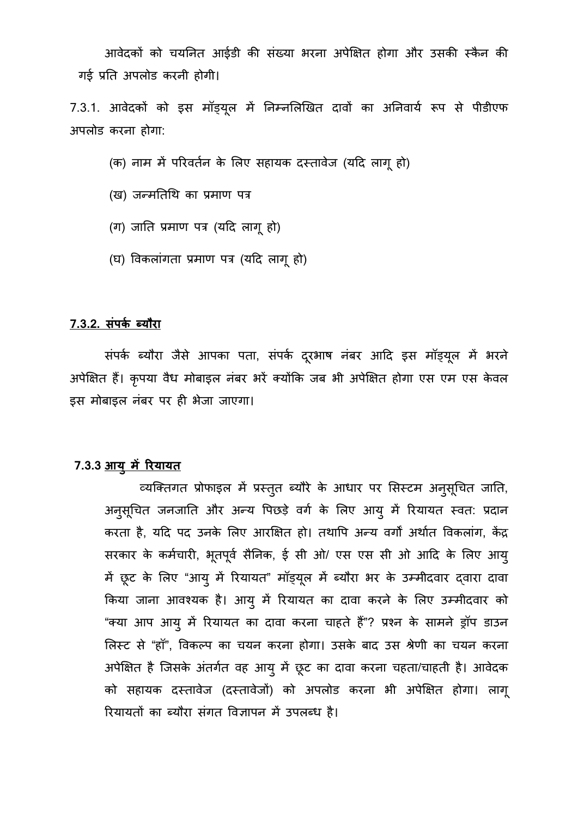आवेदकों को चयनित आईडी की संख्या भरना अपेक्षित होगा और उसकी स्कैन की गई प्रति अपलोड करनी होगी।

7.3.1. आवेदको को इस माइयूल में निम्नलिखित दावों का अनिवाये रूप से पीडी अपलोड करना होगा:

(क) नाम में परिवर्तन के लिए सहायक दस्तावेज (यदि लागू हो)

(ख) जन्मतिथि का प्रमाण पत्र

(ग) जाति प्रमाण पत्र (यदि लागू हो)

(घ) विकलांगता प्रमाण पत्र (यदि लागू हो)

#### <u>7.3.2. संपर्क ब्यौरा</u>

संपर्क ब्यौरा जैसे आपका पता, संपर्क दूरभाष नंबर आदि इस मॉड्यूल में भरने अपेक्षित हैं। कृपया वैध मोबाइल नंबर भरें क्योंकि जब भी अपेक्षित होगा एस एम एस केवल इस मोबाइल नंबर पर ही भेजा जाएगा।

#### **7.3.3 आयु म� �रयायत**

व्यक्तिगत प्रोफाइल में प्रस्तुत ब्यौरे के आधार पर सिस्टम अनुसूचित जाति, अनुसूचित जनजाति और अन्य पिछड़े वर्ग के लिए आयु में रियायत स्वत: प्रदा करता है, यदि पद उनके लिए आरक्षित हो। तथापि अन्य वर्गों अर्थात विकलांग, केंद्र सरकार के कर्मचारी, भूतपूर्व सैनिक, ई सी ओ/ एस एस सी ओ आदि के लिए आयु में छूट के लिए "आयु में रियायत" माड्यूल में ब्यौरा भर के उम्मीदवार द्वा किया जाना आवश्यक है। आयु में रियायत का दावा करने के लिए उम्मीदवार को "क्या आप आयु में रियायत का दावा करना चाहते हैं"? प्रश्न के सामने ड्रॉप डाउन लिस्ट से "हॉ", विकल्प का चयन करना होगा। उसके बाद उस श्रेणी का चयन करना अपेक्षित है जिसके अंतर्गत वह आयु में छूट का दावा करना चहता/चाहती है। आवेदक को सहायक दस्तावेज (दस्तावेजों) को अपलोड करना भी अपेक्षित होगा। लागू रियायतों का ब्यौरा संगत विज्ञापन में उपलब्ध है।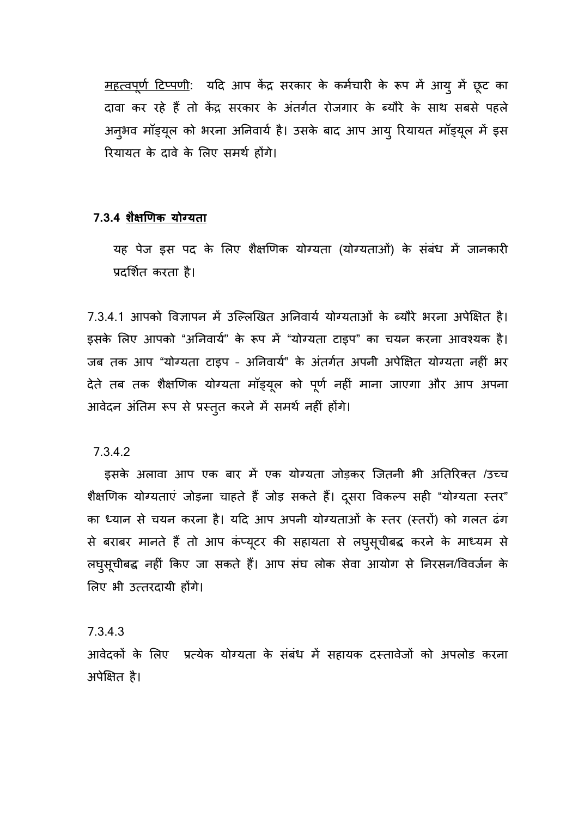<u>महत्वपूर्ण टिप्पणी</u>: यदि आप केंद्र सरकार के कर्मचारी के रूप में आयु में छूट का दावा कर रहे हैं तो केंद्र सरकार के अंतर्गत रोजगार के ब्यौरे के साथ सबसे पहले अनुभव मॉड्यूल को भरना अनिवाये हैं। उसके बाद आप आयु रियायत मॉड्यूल रियायत के दावे के लिए समर्थ होंगे।

#### **7.3.4 शै��णक योग्यता**

यह पेज इस पद के लिए शैक्षणिक योग्यता (योग्यताओं) के संबंध में जानकारी प्रदर्शित करता है।

7.3.4.1 आपको विज्ञापन में उल्लिखित अनिवार्य योग्यताओं के ब्यौरे भरना अपेक्षित है। इसके लिए आपको "अनिवार्य" के रूप में "योग्यता टाइप" का चयन करना आवश्यक है। जब तक आप "योग्यता टाइप - अनिवार्य" के अंतर्गत अपनी अपेक्षित योग्यता नहीं भर देते तब तक शैक्षणिक योग्यता मॉड्यूल को पूर्ण नहीं माना जाएगा और आप अपना आवेदन अंतिम रूप से प्रस्तुत करने में समर्थ नहीं होंगे।

#### 7.3.4.2

इसके अलावा आप एक बार में एक योग्यता जोड़कर जितनी भी अतिरिक्त /उच्च शैक्षणिक योग्यताएं जोड़ना चाहते हैं जोड़ सकते हैं। दूसरा विकल्प सही "योग्यता स्तर" का ध्यान से चयन करना है। यदि आप अपनी योग्यताओं के स्तर (स्तरों) को गलत ढंग से बराबर मानते हैं तो आप कप्यूटर की सहायता से लघुसूचीबद्ध करने के माध्यम से लघुसूचीबद्ध नहीं किए जा सकते हैं। आप संघ लोक सेवा आयोग से निरसन/विवर्जन लिए भी उत्तरदायी होंगे।

### 7.3.4.3

आवेदकों के लिए प्रत्येक योग्यता के संबंध में सहायक दस्तावेजों को अपलोड करना अपेक्षित है।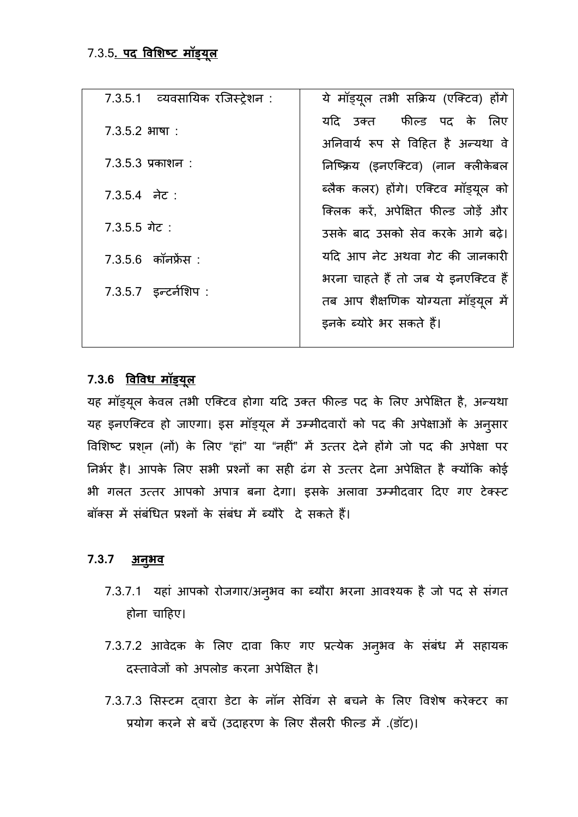| 7.3.5.1 व्यवसायिक रजिस्ट्रेशन : | ये मॉड्यूल तभी सक्रिय (एक्टिव) होंगे                                       |
|---------------------------------|----------------------------------------------------------------------------|
| $7.3.5.2$ भाषा:                 | यदि उक्त फील्ड पद के लिए                                                   |
| $7.3.5.3$ प्रकाशन :             | अनिवार्य रूप से विहित है अन्यथा वे<br>निष्क्रिय (इनएक्टिव) (नान क्लीकेबल   |
| $7.3.5.4$ नेट:                  | ब्लैक कलर) होंगे। एक्टिव मॉड्यूल को                                        |
| $7.3.5.5$ गेट:                  | क्लिक करें. अपेक्षित फील्ड जोडें और<br>उसके बाद उसको सेव करके आगे बढे।     |
| $7.3.5.6$ कॉनफ्रेंस :           | यदि आप नेट अथवा गेट की जानकारी                                             |
| $7.3.5.7$ इन्टर्नशिप:           | भरना चाहते हैं तो जब ये इनएक्टिव हैं<br>तब आप शैक्षणिक योग्यता मॉड्यूल में |
|                                 | इनके ब्योरे भर सकते हैं।                                                   |

## 7.3.6 <u>विविध मॉड्यूल</u>

यह मॉड्यूल केवल तभी एक्टिव होगा यदि उक्त फील्ड पद के लिए अपेक्षित है, अन्य यह इनएक्टिव हो जाएगा। इस मॉड्यूल में उम्मीदवारों को पद की अपेक्षाओं के अनुसार विशिष्ट प्रश्**न (नों) के लिए "हां" या "नहीं" में उत्तर** देने होंगे जो पद की अपेक्षा पर निर्भर है। आपके लिए सभी प्रश्नों का सही ढंग से उत्तर देना अपेक्षित है क्योंकि कोई भी गलत उत्तर आपको अपात्र बना देगा। इसके अलावा उम्मीदवार दिए गए टेक्स्ट बॉक्स में संबंधित प्रश्नों के संबंध में ब्यौरे दे सकते हैं।

## **7.3.7 अनु भव**

- 7.3.7.1 यहा आपको रोजगार/अनुभव का ब्यौरा भरना आवश्यक है होना चा�हए।
- 7.3.7.2 आवेदक के लिए दावा किए गए प्रत्येक अनुभव के संबंध में सहायक दस्तावेजों को अपलोड करना अपेक्षित है।
- 7.3.7.3 सिस्टम दवारा डेटा के नॉन सेविंग से बचने के लिए विशेष करेक्टर का प्रयोग करने से बचें (उदाहरण के लिए सैलरी फील्ड में .(डॉट)।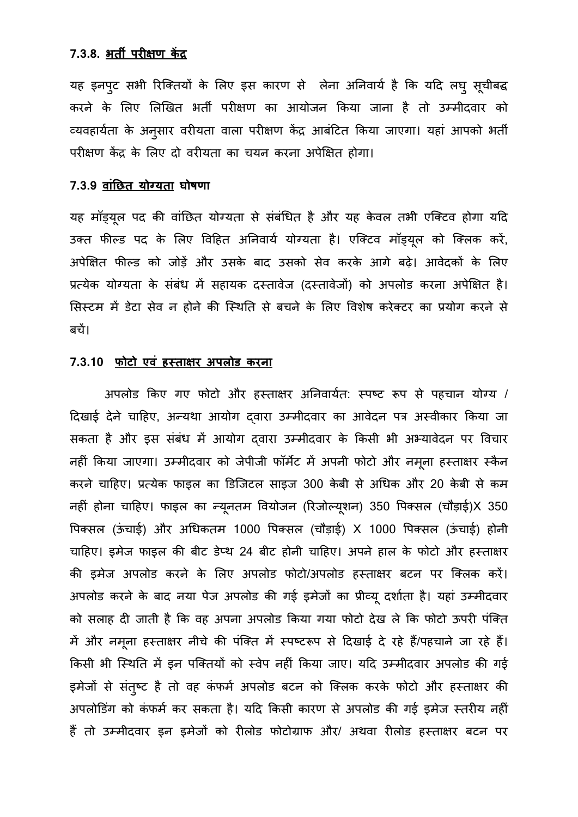#### **7.3.8. भत� पर��ण क� द**

यह इनपुट सभी रिक्तियों के लिए इस कारण से लेंब करने के लिए लिखित भर्ती परीक्षण का आयोजन किया जाना है तो उम्मीदवार को व्यवहार्यता के अनुसार वरीयता वाला परीक्षण केंद्र आबंटित किया जाएगा। यहां आपको भर्ती परीक्षण केंद्र के लिए दो वरीयता का चयन करना अपेक्षित होगा।

## **7.3.9 वांछत योग्यत घोषणा**

यह मॉड्यूल पद की वाछित योग्यता से संबंधित है और यह केवल तभी एवि उक्त फील्ड पद के लिए विहित अनिवार्य योग्यता है। एक्टिव मॉड्यूल को क्लिक करें, अपेक्षित फील्ड को जोड़ें और उसके बाद उसको सेव करके आगे बढ़े। आवेदकों के लिए प्रत्येक योग्यता के संबंध में सहायक दस्तावेज (दस्तावेजों) को अपलोड करना अपेक्षित है। सिस्टम में डेटा सेव न होने की स्थिति से बचने के लिए विशेष करेक्टर का प्रयोग करने से बच।

#### **7.3.10 फोटो एवं हस त�र अपलोड करना**

अपलोड किए गए फोटो और हस्ताक्षर अनिवार्यत: स्पष्ट रूप से पहचान योग्य / दिखाई देने चाहिए, अन्यथा आयोग दवारा उम्मीदवार का आवेदन पत्र अस्वीकार किया जा सकता है और इस संबंध में आयोग दवारा उम्मीदवार के किसी भी अभ्यावेदन पर विचार नहीं किया जाएगा। उम्मीदवार को जेपीजी फॉर्मेट में अपनी फोटो और नमूना हस्ताक्षर स्कैन करने चाहिए। प्रत्येक फाइल का डिजिटल साइज 300 केबी से अधिक और 20 केबी से कम नहीं होना चाहिए। फाइल का न्यूनतम वियोजन (रिजोल्यूशन) 350 पिक्सल (चौड़ाई)X 350 पिक्सल (ऊंचाई) और अधिकतम 1000 पिक्सल (चौड़ाई) X 1000 पिक्सल (ऊंचाई) होनी चाहिए। इमेज फाइल की बीट डेप्थ 24 बीट होनी चाहिए। अपने हाल के फोटो और हस्ताक्षर की इमेज अपलोड करने के लिए अपलोड फोटो/अपलोड हस्ताक्षर बटन पर क्लिक करें। अपलोड करने के बाद नया पेज अपलोड की गई इमेजों का प्रीव्यू दर्शाता है। यहां उम्मीदवार को सलाह दी जाती है कि वह अपना अपलोड किया गया फोटो देख ले कि फोटो ऊपरी पंक्ति में और नमूना हस्ताक्षर नीचे की पंक्ति में स्पष्टरूप से दिखाई दे रहे हैं/पहचाने जा रहे हैं। किसी भी स्थिति में इन पक्तियों को स्वेप नहीं किया जाए। यदि उम्मीदवार अपलोड की गई इमेजों से संतुष्ट है तो वह कंफर्म अपलोड बटन को क्लिक करके फोटो और हस्ताक्षर की अपलोडिंग को कंफर्म कर सकता है। यदि किसी कारण से अपलोड की गई इमेज स्तरीय नहीं हैं तो उम्मीदवार इन इमेजों को रीलोड फोटोग्राफ और/ अथवा रीलोड हस्ताक्षर बटन पर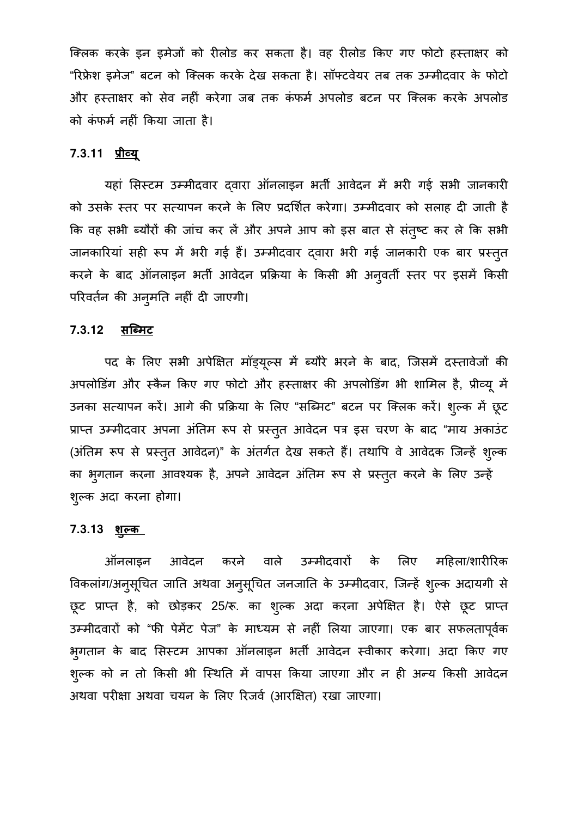क्लिक करके इन इमेजों को रीलोड कर सकता है। वह रीलोड किए गए फोटो हस्ताक्षर को "रिफ्रेश इमेज" बटन को क्लिक करके देख सकता है। सॉफ्टवेयर तब तक उम्मीदवार के फोटो और हस्ताक्षर को सेव नहीं करेगा जब तक कंफर्म अपलोड बटन पर क्लिक करके अपलोड को कंफमर् नहं कया जाता है

## **7.3.11 प्रीव्**

यहां सिस्टम उम्मीदवार दवारा ऑनलाइन भर्ती आवेदन में भरी गई सभी जानकारी को उसके स्तर पर सत्यापन करने के लिए प्रदर्शित करेगा। उम्मीदवार को सलाह दी जाती है कि वह सभी ब्यौरों की जांच कर लें और अपने आप को इस बात से संतुष्ट कर ले कि सभी जानकारियां सही रूप में भरी गई हैं। उम्मीदवार द्वारा भरी गई जानकारी एक बार प्रस्तुत करने के बाद आंनलाइन भती आवेदन प्रक्रिया के किसी भी अनुवती स्तर पर इसमें कि परिवर्तन की अनुमति नहीं दी जाएगी।

#### 7.3.12 <u>सब्मिट</u>

पद के लिए सभी अपेक्षित माड्यूल्स में ब्यौरे भरने के बाद, जिसमें दस्त अपलोडिंग और स्कैन किए गए फोटो और हस्ताक्षर की अपलोडिंग भी शामिल है, प्रीव्यू में उनका सत्यापन करें। आगे की प्रक्रिया के लिए "सब्मिट" बटन पर क्लिक करें। शुल्क में छूट प्राप्त उम्मीदवार अपना अंतिम रूप से प्रस्तुत आवेदन पत्र इस चरण के बाद "माय अकाउंट (अंतिम रूप से प्रस्तुत आवेदन)" के अतंगेत देख सकते हैं। तथापि वे आवेदक जिन्हें शुल् का भुगतान करना आवश्यक है, अपने आवेदन अंतिम रूप से प्रस्तुत करने के लिए उन्हें शुल्क 3

#### **7.3.13 शुल्**

ऑनलाइन आवेदन करने वाले उम्मीदवारों के लिए महिला/शारीरिक वेकलांग/अनुसूचित जाति अथवा अनुसूचित जनजाति के उम्मीदवार, जिन्हें शुल्क अदायगी से छूट प्राप्त है, को छोड़कर 25/रू. का शुल्क अदा करना अपेक्षित है। उम्मीदवारों को "फी पेमेंट पेज" के माध्यम से नहीं लिया जाएगा। एक बार सफलतापूर्वक भुगतान के बाद सिस्टम आपका आंनलाइन भती आवेदन स्वीकार करेगा। अदा कि शुल्क को न तो किसी भी स्थिति में वापस किया जाएगा और न ही अन्य किर अथवा परीक्षा अथवा चयन के लिए रिजर्व (आरक्षित) रखा जाएगा।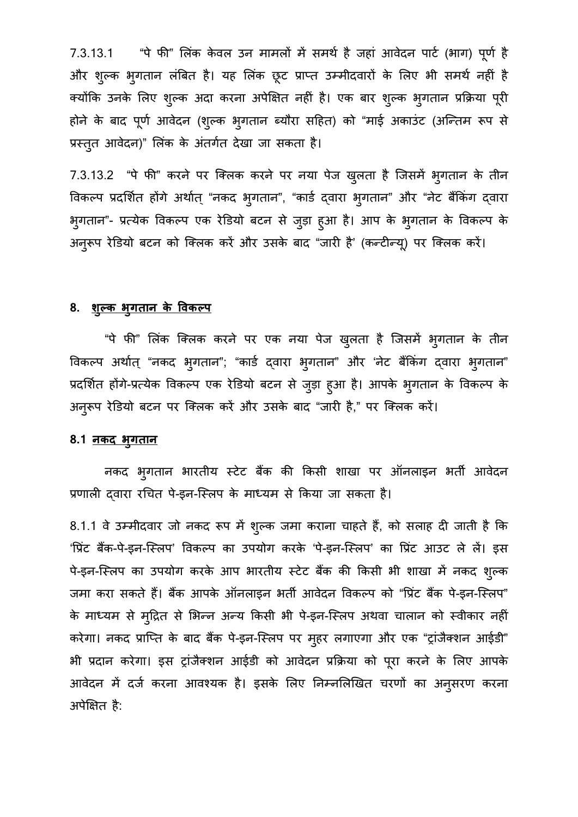7.3.13.1 "पे फी" लिंक केवल उन मामलों में समर्थ है जहां आवेदन पार्ट (भाग) पूर्ण है और शुल्क भुगतान लंबित है। यह लिक छूट प्राप्त उम्मीदवारों के लिए भी समर्थ नहीं हैं क्योंकि उनके लिए शुल्क अदा करना अपेक्षित नहीं है। एक बार शुल्क भुगतान प्रक्रिया पूरी होने के बाद पूर्ण आवेदन (शुल्क भुगतान ब्यौरा सहित) को "माई अकाउंट (अन्तिम रूप से प्रस्तुत आवेदन)" लिंक के अंतर्गत देखा जा सकता है।

7.3.13.2 "पे फी" करने पर क्लिक करने पर नया पेज खुलता है जिसमें भुगतान के तीन वेकल्प प्रदर्शित होंगे अथोत् "नकद भुगतान", "कार्ड द्वारा भुगतान" और "नेट बैंकिंग द्वा भुगतान"- प्रत्येक विकल्प एक रेडियो बटन से जुड़ा हुआ है। आप के भुगतान के विव अनुरूप रेडियो बटन को क्लिक करें और उसके बाद "जारी हैं' (कन्टीन्यू) पर वि

### **8. शुल्क भुगतान के वकल**

"पे फी" लिंक क्लिक करने पर एक नया पेज खुलता है जिसमें भुगतान के तीन वेकल्प अर्थात् "नकद भुगतान"; "कार्ड द्वारा भुगतान" और 'नेट बैंकिंग द्वारा भुगतान" प्रदर्शित होंगे-प्रत्येक विकल्प एक रेडियो बटन से जुड़ा हुआ है। आपके भुगतान के विक अनुरूप रेडियो बटन पर क्लिक करें और उसके बाद "जारी है," पर वि

#### **8.1 नकद भु गतान**

नकद भुगतान भारतीय स्टेट बैंक की किसी शाखा पर प्रणाली दवारा रचित पे-इन-स्लिप के माध्यम से किया जा सकता है।

8.1.1 वे उम्मीदवार जो नकद रूप में शुल्क जमा कराना चाहते हैं, को सलाह दी जाती है कि 'प्रिंट बैंक-पे-इन-स्लिप' विकल्प का उपयोग करके 'पे-इन-स्लिप' का प्रिंट आउट ले लें। इस पे-इन-स्लिप का उपयोग करके आप भारतीय स्टेट बैंक की किसी भी शाखा में नकद शुल्क जमा करा सकते हैं। बैंक आपके ऑनलाइन भर्ती आवेदन विकल्प को "प्रिंट बैंक पे-इन-स्लिप" के माध्यम से मुद्रित से भिन्न अन्य किसी भी पे-इन-स्लिप अथवा चालान को स्वीकार नहीं करेगा। नकद प्राप्ति के बाद बैंक पे-इन-स्लिप पर मुहर लगाएगा और एक "ट्रांजैक्शन आईडी" भी प्रदान करेगा। इस ट्रांजैक्शन आईडी को आवेदन प्रक्रिया को पूरा करने के लिए आपके आवेदन में दर्ज करना आवश्यक है। इसके लिए निम्नलिखित चरणों का अनुसरण करना अपेक्षित है: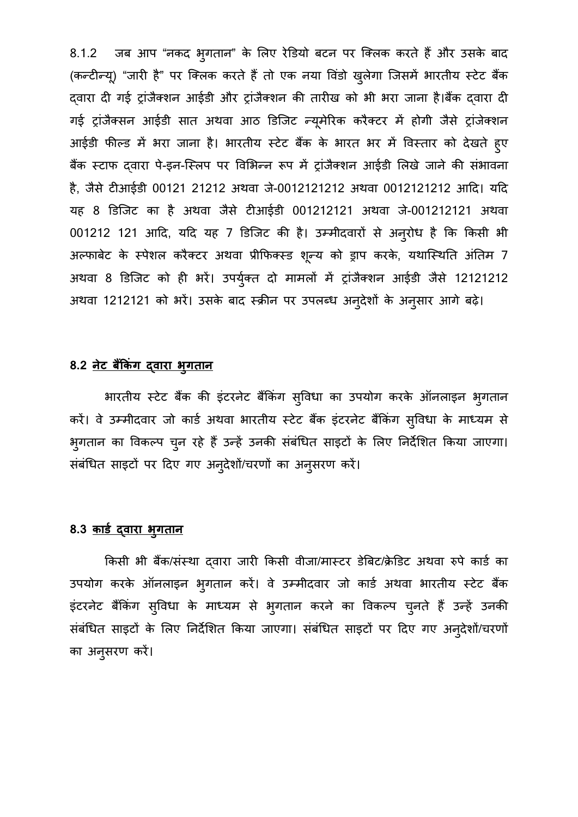8.1.2 जब आप "नकद भुगतान" के लिए रेडियो बटन पर कि (कन्टीन्यू) "जारी है" पर क्लिक करते हैं तो एक नया विंडो खुलेगा जिसमें भारतीय स्टेट बैंक दवारा दी गई ट्रांजैक्शन आईडी और ट्रांजैक्शन की तारीख को भी भरा जाना है।बैंक दवारा दी गई ट्राजैक्सन आईडी सात अथवा आठ डिजिट न्यूमेरिक करैक्टर में होगी जैसे ट्राजेक्शन आईडी फील्ड में भरा जाना है। भारतीय स्टेट बैंक के भारत भर में विस्तार को देखते हुए बैंक स्टाफ द्वारा पे-इन-स्लिप पर विभिन्न रूप में ट्रांजैक्शन आईडी लिखे जाने की संभावना है, जैसे टीआईडी 00121 21212 अथवा जे-0012121212 अथवा 0012121212 आदि। यदि यह 8 डिजिट का है अथवा जैसे टीआईडी 001212121 अथवा जे-001212121 अथवा 001212 121 आदि, यदि यह 7 डिजिट की है। उम्मीदवारों से अनुरोध है कि किसी भी अल्फाबेट के स्पेशल करैक्टर अथवा प्रीफिक्स्ड शून्य को ड्राप करके, यथास्थिति अंतिम 7 अथवा 8 डिजिट को ही भरें। उपर्युक्त दो मामलों में ट्रांजैक्शन आईडी जैसे 12121212 अथवा 1212121 को भरें। उसके बाद स्क्रीन पर उपलब्ध अन् देशों के अनुसार आगे बढ़े।

## **8.2 नेट ब�कंग द्वारा भुगता**

भारतीय स्टेट बैंक की इंटरनेट बैंकिंग स्विधा का उपयोग करके ऑनलाइन भ्गतान करें। वे उम्मीदवार जो कार्ड अथवा भारतीय स्टेट बैंक इंटरनेट बैंकिंग सुविधा के माध्यम से भुगतान का विकल्प चुन रहे हैं उन्हें उनकी संबंधित साइटों के लिए निर्देशित किया जाएगा। सर्बाधैत साइटो पर दिए गए अनुदेशो/चरणों का अनुसरण करें।

#### <u>8.3 काडे द्वारा भुगतान</u>

किसी भी बैंक/संस्था दवारा जारी किसी वीजा/मास्टर डेबिट/क्रेडिट अथवा रुपे कार्ड का उपयोग करके आनलाइन भुगतान करें। वे उम्मीदवार जो इंटरनेट बैंकिंग सुविधा के माध्यम से भुगतान करने का विकल्प चुनते हैं उन्हें उनकी संबंधित साइटों के लिए निर्देशित किया जाएगा। संबंधित साइटों पर दिए गए अनुदेशो/चरण का अनु सरण कर।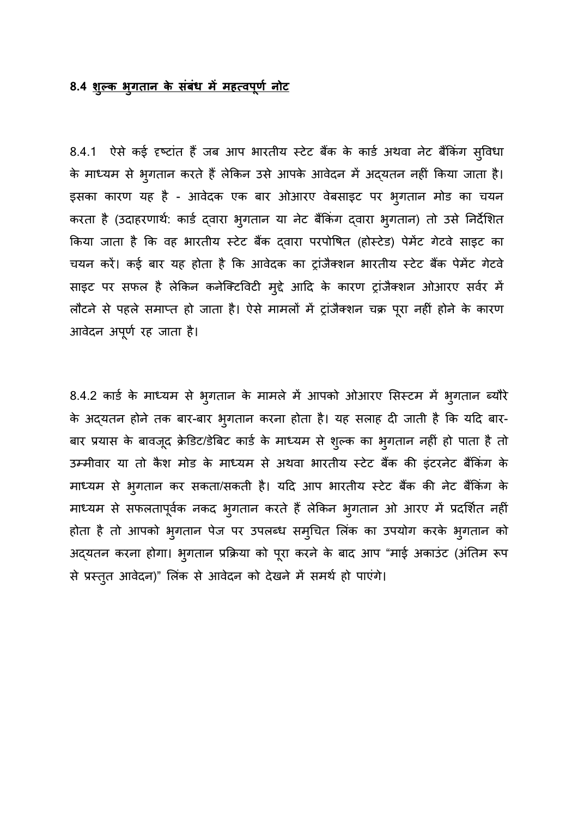## 8.4 <u>शुल्क भुगतान के संबंध में महत्वपूर्ण नोट</u>

8.4.1 ऐसे कई दृष्टांत हैं जब आप भारतीय स्टेट बैंक के कार्ड अथवा नेट बैंकिंग सुविधा के माध्यम से भुगतान करते हैं लेकिन उसे आपके आवेदन में अद्यतन नहीं किया जाता है। इसका कारण यह है - आवेदक एक बार ओआरए वेबसाइट पर भु गतान मोड का चयन करता है (उदाहरणार्थ: कार्ड द्वारा भ्**गतान या नेट बैंकिंग द्**वारा भ्**गतान) तो उसे निर्दे**शित किया जाता है कि वह भारतीय स्टेट बैंक दवारा परपोषित (होस्टेड) पेमेंट गेटवे साइट का चयन करें। कई बार यह होता है कि आवेदक का ट्रांजैक्शन भारतीय स्टेट बैंक पेमेंट गेटवे साइट पर सफल है लेकिन कनेक्टिविटी मुद्दे आदि के कारण ट्रांजैक्शन ओआरए सर्वर में लौटने से पहले समाप्त हो जाता है। ऐसे मामलों में ट्रांजैक्शन चक्र पूरा नहीं होने के कारण आवेदन अपूर्ण रह जाता है।

8.4.2 कार्ड के माध्यम से भुगतान के मामले में आपको ओआरए सिस्टम में भुगतान ब्यौरे के अद्यतन होने तक बार-बार भुगतान करना होता है। यह सलाह दी जाती है कि यदि बार-बार प्रयास के बावजूद क्रेडिट/डेबिट कार्ड के माध्यम से शुल्क का भुगतान नहीं हो पाता है तो उम्मीवार या तो कैश मोड के माध्यम से अथवा भारतीय स्टेट बैंक की इंटरनेट बैंकिंग के माध्यम से भुगतान कर सकता/सकती है। यदि आप भारतीय स्टेट बैंक की नेट बैंकिंग के माध्यम से सफलतापूर्वक नकद भुगतान करते हैं लेकिन भुगतान ओ आरए में प्रदर्शित नहीं होता है तो आपको भुगतान पेज पर उपलब्ध समुचित लिंक का उपयोग करके भुगत अद्यतन करना होगा। भुगतान प्रक्रिया को पूरा करने के बाद आप "माई अकाउंट (अंतिम रूप से प्रस्तुत आवेदन)" लिंक से आवेदन को देखने में समर्थ हो पाएंगे।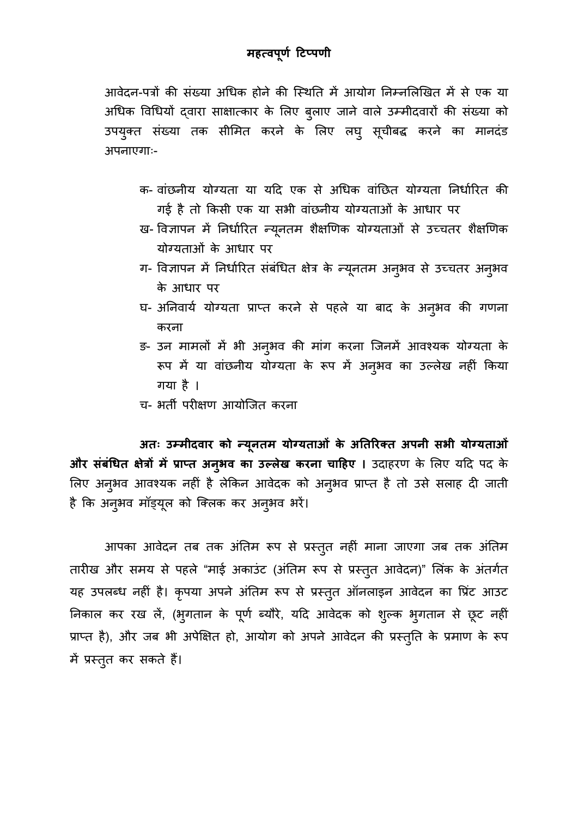आवेदन-पत्रों की संख्या अधिक होने की स्थिति में आयोग निम्नलिखित में से एक या अधिक विधियों दवारा साक्षात्कार के लिए बुलाए जाने वाले उम्मीदवारों की संख्या को उपयुक्त संख्य अपनाएगाः-

- क- वांछनीय योग्यता या यदि एक से अधिक वांछित योग्यता निर्धारित की गई है तो किसी एक या सभी वांछनीय योग्यताओं के आधार पर
- ख- विज्ञापन में निर्धारित न्यूनतम शैक्षणिक योग्यताओं से उच्चतर शैक्षणिक योग्यताओं के आधार पर
- ग- विज्ञापन में निर्धारित सर्बांधेत क्षेत्र के न्यूनतम के आधार पर
- घ- अनिवाये योग्यता प्राप्त करने से पहले या बाद के अनुभव की गणना करना
- ङ- उन मामलो में भी अनुभव की माग करना जिनमें आवश् रूप में या वांछनीय योग्यता के रूप में अन्3मव का उल्लेख नहीं किया गया है।
- च- भर्ती परीक्षण आयोजित करना

 **अतः उम्मीदवार को न्यूनतम योग्यताओं के अतरक्त अपनीसभग्यताओं और संबंधित क्षेत्रों में प्राप्त अनुभव का उल्लेख करना चाहिए । उदाहरण के लिए यदि पद के** लिए अनुभव आवश्यक नहीं है लेकिन आवेदक को अनुभव प्राप्त है तो उसे सलाह दी जात है कि अनुभव मॉड्यूल को क्लिक व

आपका आवेदन तब तक अंतिम रूप से प्रस्तुत नहीं माना जाएगा जब तक अंतिम तारीख और समय से पहले "माई अकाउंट (अंतिम रूप से प्रस्तुत आवेदन)" लिंक के अंतर्गत यह उपलब्ध नहीं है। कृपया अपने अंतिम रूप से प्रस्तुत ऑनलाइन आवेदन का प्रिंट आउट निकाल कर रख ले, (भुगतान के पूर्ण ब्यौरे, यदि आवेदक को शुल्क भुगतान से छूट नहीं प्राप्त है), और जब भी अपेक्षित हो, आयोग को अपने आवेदन की प्रस्तुति के प्रमाण के रूप में प्रस्तुत कर सकते हैं।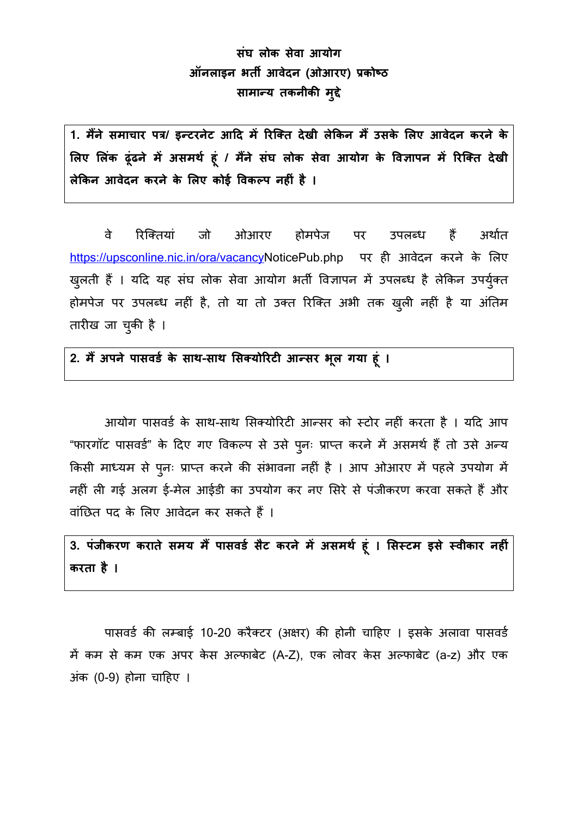## **संघ लोक सेवा आयोग ऑनलाइन भत� आवेदन (ओआरए) प्रको सामान्य तकनीक मुद**

1. मैंने समाचार पत्र/ इन्टरनेट आदि में रिक्ति देखी लेकिन मैं उसके लिए आवेदन करने के **�लए �लंक ढूंढने म� असमथर् हूं / म�ने संघ लोक सेवा आयोग के �व�ापन म� �रिक्त देखी लेकन आवेदन करने के �लए कोई �वकल्प नहं है** 

वे रिक्तियां जो ओआरए होमपेज पर हैं अर्थात उपलब्ध <https://upsconline.nic.in/ora/vacancy>NoticePub.php पर ही आवेदन करने के लिए खुलती हैं । यदि यह संघ लोक सेवा आयोग भर्ती विज्ञापन में उपलब्ध है लेकिन उपर्युक्त होमपेज पर उपलब्ध नहीं है, तो या तो उक्त रिक्ति अभी तक खुली नहीं है या अंतिम तारीख जा चुकी है ।

**2. म� अपने पासवडर् के सा-साथ �सक्योरट आन्सर भूल गया हूं**

आयोग पासवर्ड के साथ-साथ सिक्योरिटी आन्सर को स्टोर नहीं करता है । यदि आप "फारगॉट पासवर्ड" के दिए गए विकल्प से उसे पुनः प्राप्त करने में असमर्थ हैं तो उसे अन्य किसी माध्यम से पुनः प्राप्त करने की संभावना नहीं है । आप ओआरए में पहले उपयोग में नहीं ली गई अलग ई-मेल आईडी का उपयोग कर नए सिरे से पंजीकरण करवा सकते हैं और वांछित पद के लिए आवेदन कर सकते हैं ।

3. पंजीकरण कराते समय मैं पासवर्ड सैट करने में असमर्थ हूं । सिस्टम इसे स्वीकार नहीं **करता है ।**

पासवर्ड की लम्बाई 10-20 करैक्टर (अक्षर) की होनी चाहिए । इसके अलावा पासवर्ड में कम से कम एक अपर केस अल्फाबेट (A-Z), एक लोवर केस अल्फाबेट (a-z) और एक अंक (0-9) होना चा�हए ।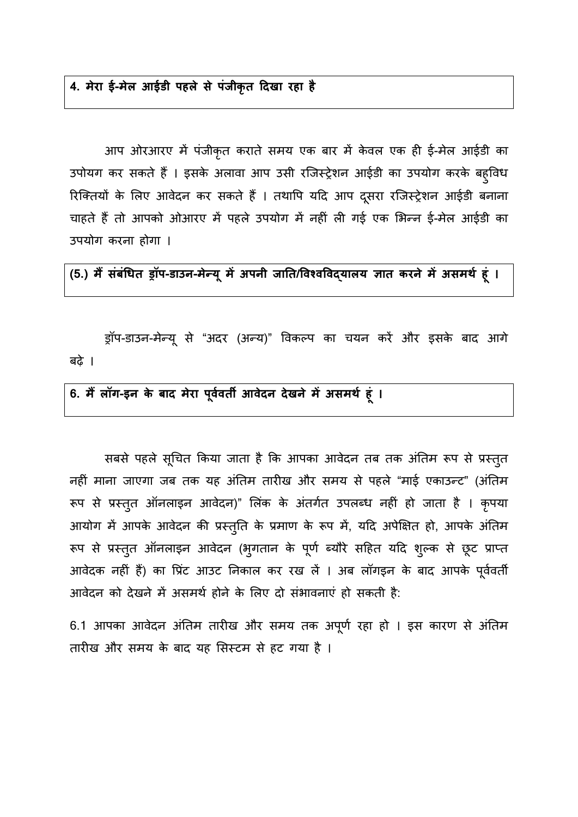## **4. मेरा ई-मेल आईडी पहले से पंजीकृत दखा रहा है**

आप ओरआरए में पंजीकृत कराते समय एक बार में केवल एक ही ई-मेल आईडी का उपोयग कर सकते हैं । इसके अलावा आप उसी रजिस्ट्रेशन आईडी का उपयोग करके बहुविध रिक्तियों के लिए आवेदन कर सकते हैं । तथापि यदि आप दूसरा रजिस्ट्रेशन आईडी बनाना चाहते हैं तो आपको ओआरए में पहले उपयोग में नहीं ली गई एक भिन्न ई-मेल आईडी का उपयोग करना होगा ।

**(5.) म� संबंधत ड्र-डाउन-मेन्य ू म अपनी जा/�वश्ववद्यालय ात करने म असमथर् हू**

ड्रॉप-डाउन-मेन्यू से "अदर (अन्य)" विकल्प का चयन करें और इसके बाद आगे बढ़े ।

**6. म� लॉग-इन के बाद मेरा पू वर्वत आवेदन देखने म असमथ हूं ।**

सबसे पहले सूचित किया जाता है कि आपका आवेदन तब तक अंतिम रूप से प्रस्तुत नहीं माना जाएगा जब तक यह अंतिम तारीख और समय से पहले "माई एकाउन्ट" (अंतिम रूप से प्रस्तुत ऑनलाइन आवेदन)" लिंक के अंतर्गत उपलब्ध नहीं हो जाता है । कृपया आयोग में आपके आवेदन की प्रस्तुति के प्रमाण के रूप में, यदि अपेक्षित हो, आपके अंतिम रूप से प्रस्तुत ऑनलाइन आवेदन (भुगतान के पूर्ण ब्यौरे सहित यदि शुल्क से छूट आवेदक नहीं हैं) का प्रिंट आउट निकाल कर रख लें । अब लॉगइन के बाद आपके पूर्ववर्ती आवेदन को देखने में असमर्थ होने के लिए दो संभावनाएं हो सकती है:

6.1 आपका आवेदन अंतिम तारीख और समय तक अपूर्ण रहा हो । इस कारण से अंतिम तारीख और समय के बाद यह सिस्टम से हट गया है ।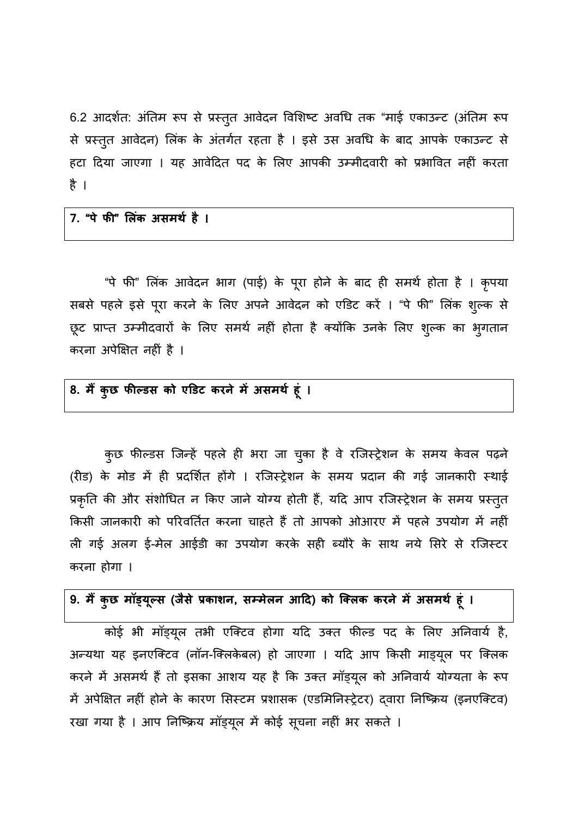6.2 आदर्शत: अंतिम रूप से प्रस्तुत आवेदन विशिष्ट अवधि तक "माई एकाउन्ट (अंतिम रूप से प्रस्तुत आवेदन) लिंक के अंतर्गत रहता है । इसे उस अवधि के बाद आपके एकाउन्ट से हटा दिया जाएगा । यह आवेदित पद के लिए आपकी उम्मीदवारी को प्रभावित नहीं करता है।

**7. "पे फ" �लंक असमथर् है** 

"पे फी" लिंक आवेदन भाग (पाई) के पूरा होने के बाद ही समर्थ होता है । कृपया सबसे पहले इसे पूरा करने के लिए अपने आवेदन को एडिट करें । "पे फी" लिंक शुल्क से छूट प्राप्त उम्मीदवारों के लिए समर्थ नहीं होता है क्योंकि उनके लिए शुल्क का भुगतान करना अपेक्षित नहीं है ।

## 8. मैं कुछ फील्डस को एडिट करने में असमर्थ हूं ।

कुछ फील्डस जिन्हें पहले ही भरा जा चुका है वे रजिस्ट्रेशन के समय केवल पढ़ने (रीड) के मोड में ही प्रदर्शित होंगे । रजिस्ट्रेशन के समय प्रदान की गई जानकारी स्थाई प्रकृति की और संशोधित न किए जाने योग्य होती हैं, यदि आप रजिस्ट्रेशन के समय प्रस्तुत किसी जानकारी को परिवर्तित करना चाहते हैं तो आपको ओआरए में पहले उपयोग में नहीं ली गई अलग ई-मेल आईडी का उपयोग करके सही ब्यौरे के साथ नये सिरे से रजिस्टर करना होगा ।

## **9. म� कुछ मॉड्य ूल्(जैसे प्रका, सम्मेलन आ) को िक्लक करने म असमथर् हूं**

कोई भी मॉड्यूल तभी एक्टिव होगा यदि उक्त फील्ड पद के लिए अनिवाये हैं, अन्यथा यह इनएक्टिव (नॉन-क्लिकेबल) हो जाएगा । यदि आप किसी माड्यूल पर क्लिक करने में असमर्थ हैं तो इसका आशय यह है कि उक्त मॉड्यूल को अनिवार्य योग्यता के रूप में अपेक्षित नहीं होने के कारण सिस्टम प्रशासक (एडमिनिस्ट्रेटर) दवारा निष्क्रिय (इनएक्टिव) रखा गया है। आप निष्क्रिय मॉड्यूल में कोई सूचना नहीं भर सकते ।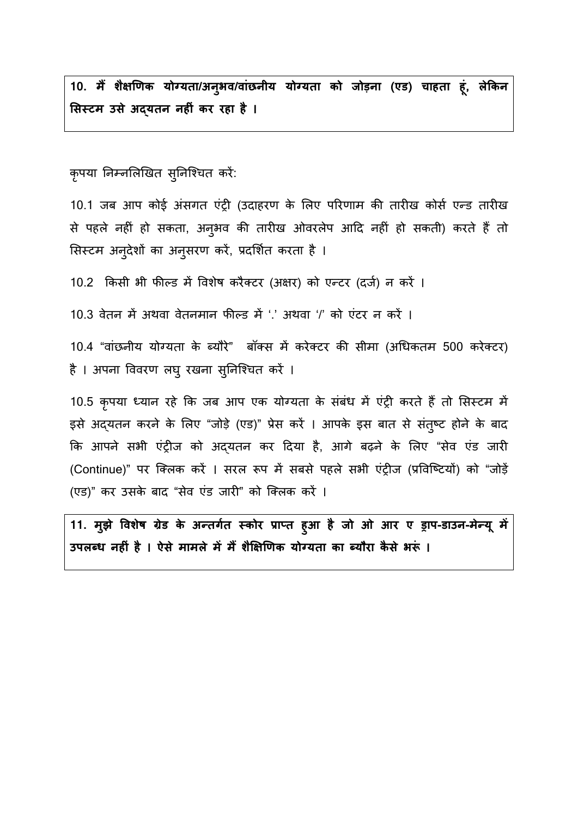**10. म� शै��णक योग्यत/अनु भव/वांछनीय योग्यता को जोड़ना(एड) चाहता हूं, लेकन �सस्टम उसे अद्यतन नहं कर रहा है**

कृपया निम्नलिखित सुनिश्चित करें:

10.1 जब आप कोई अंसगत एंट्री (उदाहरण के लिए परिणाम की तारीख कोर्स एन्ड तारीख से पहले नहीं हो सकता, अनुभव की तारीख ओवरलेप आदि नहीं हो सकती) करते हैं तो सिस्टम अनुदेशों का अनुसरण करें, प्रदर्शित करता है ।

10.2 किसी भी फील्ड में विशेष करैक्टर (अक्षर) को एन्टर (दर्ज) न करें ।

 $10.3$  वेतन में अथवा वेतनमान फील्ड में '.' अथवा '/' को एंटर न करें ।

10.4 "वांछनीय योग्यता के ब्यौरे" बॉक्स में करेक्टर की सीमा (अधिकतम 500 करेक्टर) है । अपना विवरण लघु रखना सुनिश्चित करे ।

10.5 कृपया ध्यान रहे कि जब आप एक योग्यता के संबंध में एंट्री करते हैं तो सिस्टम में इसे अद्यतन करने के लिए "जोड़े (एड)" प्रेस करें । आपके इस बात से संतुष्ट होने के बाद कि आपने सभी एंट्रीज को अदयतन कर दिया है, आगे बढ़ने के लिए "सेव एंड जारी (Continue)" पर क्लिक करें । सरल रूप में सबसे पहले सभी एंट्रीज (प्रविष्टियों) को "जोड़ें (एड)" कर उसके बाद "सेव एंड जारी" को क्लिक करें ।

**11. मु झे �वशेष ग्रेड के अन्तगर्त स्कोरप्राप्त हुआ है जो ओ -डाउन-मेन्य ू म** उपलब्ध नहीं है । ऐसे मामले में मैं शैक्षिणिक योग्यता का ब्यौरा कैसे भर<u>ूं</u> ।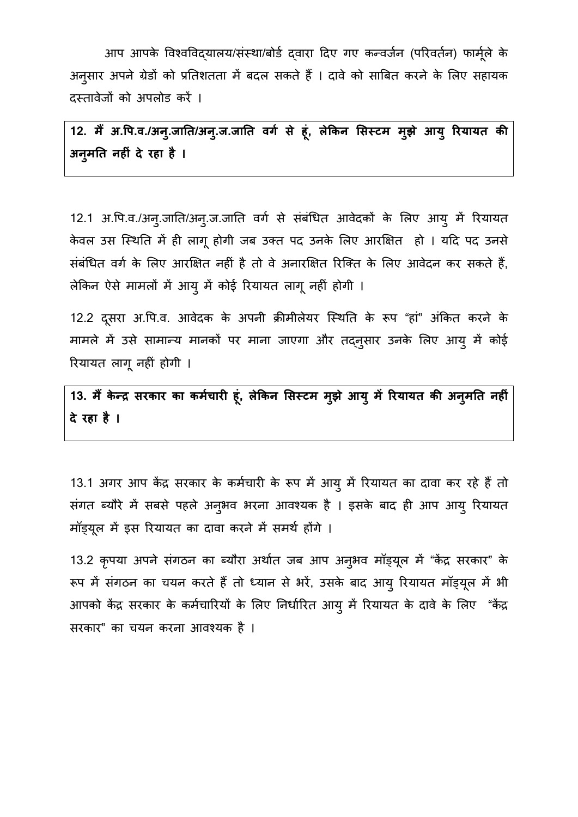आप आपके विश्वविदयालय/संस्था/बोर्ड दवारा दिए गए कन्वर्जन (परिवर्तन) फार्मूले के अनुसार अपने ग्रेडो को प्रतिशतता में बदल सकते हैं । दावे को साबित करने के लिए स दस्तावेजों को अपलोड करें ।

**12. म� अ.�प.व./अनु.जात/अनु.ज.जात वगर् से हू, लेकन �सस्टम मुझे आयु रयायत क अनु मत नह�ं दे रहा है ।**

12.1 अ.पि.व./अन्.जाति/अन्.ज.जाति वर्ग से संबंधित आवेदकों के लिए आयु में रियायत केवल उस स्थिति में ही लागू होगी जब उक्त पद उनके लिए आरक्षित हो । यदि पद उनसे संबंधित वर्ग के लिए आरक्षित नहीं है तो वे अनारक्षित रिक्ति के लिए आवेदन कर सकते हैं, लेकिन ऐसे मामलों में आयु में कोई रियायत लागू नहीं होगी ।

12.2 दूसरा अ.पि.व. आवेदक के अपनी क्रीमीलेयर स्थिति के रूप "हां" अंकित करने के मामले में उसे सामान्य मानकों पर माना जाएगा और तद्नुसार उनके लिए आयु में कोई रयायत लागू नहं होगी।

13. मैं केन्द्र सरकार का कर्मचारी हूं, लेकिन सिस्टम मुझे आयु में रियायत की अनुमति नहीं | **दे रहा है ।**

13.1 अगर आप केंद्र सरकार के कर्मचारी के रूप में आयु में रियायत का दावा कर रहे हैं तो संगत ब्यौरे में सबसे पहले अनुभव भरना आवश्यक है । इसके बाद ही आप आयु रियायत मॉड्यूल में इस रियायत का दावा करने में समर्थ होंगे ।

13.2 कृपया अपने संगठन का ब्यौरा अर्थात जब आप अनुभव मॉड्यूल में "केंद्र सरकार" के रूप में संगठन का चयन करते हैं तो ध्यान से भरे, उसके बाद आयु रियायत माड्यूल आपको केंद्र सरकार के कर्मचारियों के लिए निर्धारित आयु में रियायत के दावे के लिए "केंद्र सरकार" का चयन करना आवश्यक ह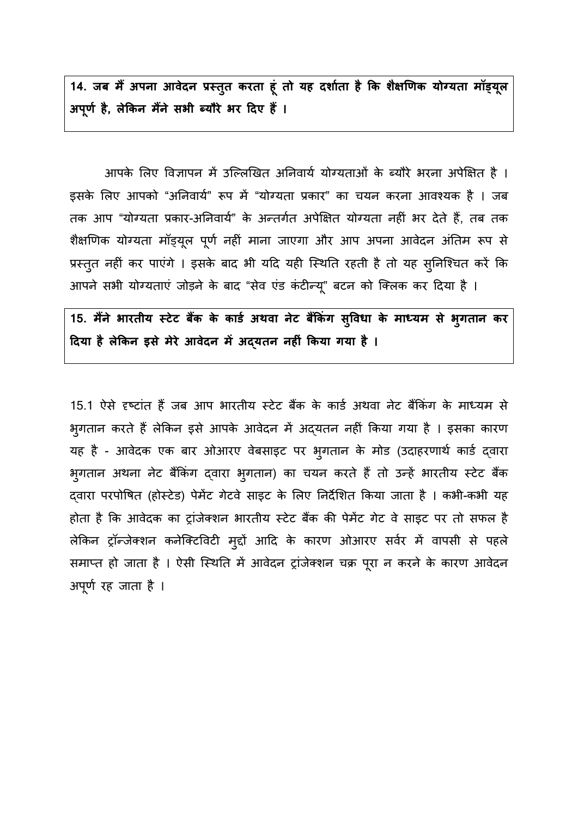14. जब मैं अपना आवेदन प्रस्तुत करता हूं तो यह दर्शाता है **अपू णर् ह, लेकन म�ने सभी ब्यौरे भर दए ह** 

आपके लिए विज्ञापन में उल्लिखित अनिवार्य योग्यताओं के ब्यौरे भरना अपेक्षित है । इसके लिए आपको "अनिवार्य" रूप में "योग्यता प्रकार" का चयन करना आवश्यक है । जब तक आप "योग्यता प्रकार-अनिवार्य" के अन्तर्गत अपेक्षित योग्यता नहीं भर देते हैं, तब तक शैक्षणिक योग्यता मॉड्यूल पूर्ण नहीं माना जाएगा और आप अपना आवेदन अंतिम रूप से प्रस्तुत नहीं कर पाएंगे । इसके बाद भी यदि यही स्थिति रहती है तो यह सुनिश्चित करें कि आपने सभी योग्यताएं जोड़ने के बाद "सेव एंड कंटीन्यू" बटन को क्लिक कर दिया है ।

15. मैंने भारतीय स्टेट बैंक के कार्ड अथवा नेट बैंकिंग सुविधा के माध्यम से भुगतान कर दिया है लेकिन इसे मेरे आवेदन में अद्**यतन नहीं किया गया है** ।

15.1 ऐसे दृष्टांत हैं जब आप भारतीय स्टेट बैंक के कार्ड अथवा नेट बैंकिंग के माध्यम से भुगतान करते हैं लेकिन इसे आपके आवेदन में अद्यतन नहीं किया गया है । इ यह है - आवेदक एक बार ओआरए वेबसाइट पर भुगतान के मोड (उदाहरणार्थ कार्ड द्वारा भुगतान अथना नेट बैंकिंग द्वारा भुगतान) का चयन करते हैं तो उन्हें भारतीय स्टेट बैं दवारा परपोषित (होस्टेड) पेमेंट गेटवे साइट के लिए निर्देशित किया जाता है। कभी-कभी यह होता है कि आवेदक का ट्रांजेक्शन भारतीय स्टेट बैंक की पेमेंट गेट वे साइट पर तो सफल है लेकिन ट्रॉन्जेक्शन कनेक्टिविटी मुद्दों आदि के कारण ओआरए सर्वर में वापसी से पहले समाप्त हो जाता है । ऐसी स्थिति में आवेदन ट्रांजेक्शन चक्र पूरा न करने के कारण आवेदन अपूर्ण रह जाता है ।